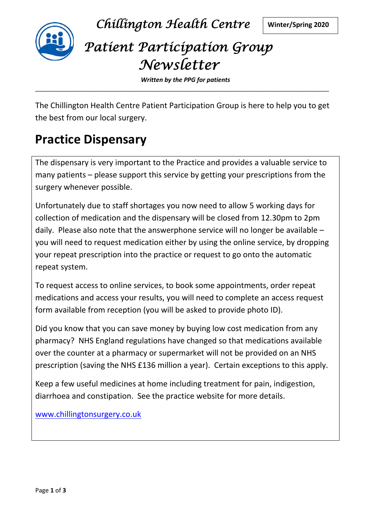

*Chillington Health Centre* **Winter/Spring 2020**

# *Patient Participation Group Newsletter*

*Written by the PPG for patients* \_\_\_\_\_\_\_\_\_\_\_\_\_\_\_\_\_\_\_\_\_\_\_\_\_\_\_\_\_\_\_\_\_\_\_\_\_\_\_\_\_\_\_\_\_\_\_\_\_\_\_\_\_\_\_\_\_\_\_\_\_\_\_\_\_\_\_\_\_\_\_\_\_\_\_\_\_\_\_\_\_\_\_\_\_\_

The Chillington Health Centre Patient Participation Group is here to help you to get the best from our local surgery.

### **Practice Dispensary**

The dispensary is very important to the Practice and provides a valuable service to many patients – please support this service by getting your prescriptions from the surgery whenever possible.

Unfortunately due to staff shortages you now need to allow 5 working days for collection of medication and the dispensary will be closed from 12.30pm to 2pm daily. Please also note that the answerphone service will no longer be available – you will need to request medication either by using the online service, by dropping your repeat prescription into the practice or request to go onto the automatic repeat system.

To request access to online services, to book some appointments, order repeat medications and access your results, you will need to complete an access request form available from reception (you will be asked to provide photo ID).

Did you know that you can save money by buying low cost medication from any pharmacy? NHS England regulations have changed so that medications available over the counter at a pharmacy or supermarket will not be provided on an NHS prescription (saving the NHS £136 million a year). Certain exceptions to this apply.

Keep a few useful medicines at home including treatment for pain, indigestion, diarrhoea and constipation. See the practice website for more details.

www.chillingtonsurgery.co.uk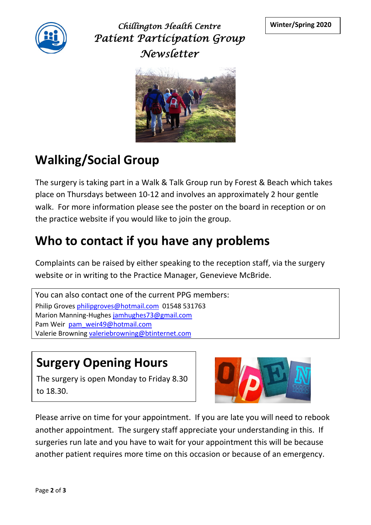

*Chillington Health Centre* **Winter/Spring 2020** *Patient Participation Group Newsletter*



## **Walking/Social Group**

The surgery is taking part in a Walk & Talk Group run by Forest & Beach which takes place on Thursdays between 10-12 and involves an approximately 2 hour gentle walk. For more information please see the poster on the board in reception or on the practice website if you would like to join the group.

### **Who to contact if you have any problems**

Complaints can be raised by either speaking to the reception staff, via the surgery website or in writing to the Practice Manager, Genevieve McBride.

```
You can also contact one of the current PPG members:
Philip Groves philipgroves@hotmail.com 01548 531763
Marion Manning-Hughes jamhughes73@gmail.com
Pam Weir pam_weir49@hotmail.com
Valerie Browning valeriebrowning@btinternet.com
```
#### **Surgery Opening Hours**

The surgery is open Monday to Friday 8.30 to 18.30.



Please arrive on time for your appointment. If you are late you will need to rebook another appointment. The surgery staff appreciate your understanding in this. If surgeries run late and you have to wait for your appointment this will be because another patient requires more time on this occasion or because of an emergency.